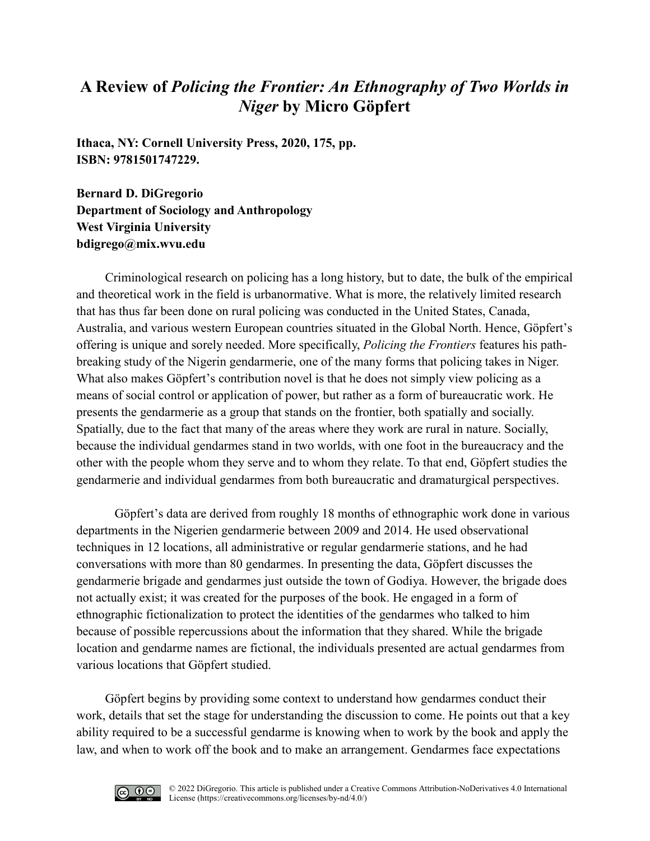## **A Review of** *Policing the Frontier: An Ethnography of Two Worlds in Niger* **by Micro Göpfert**

**Ithaca, NY: Cornell University Press, 2020, 175, pp. ISBN: 9781501747229.**

**Bernard D. DiGregorio Department of Sociology and Anthropology West Virginia University [bdigrego@mix.wvu.edu](mailto:bdigrego@mix.wvu.edu)**

Criminological research on policing has a long history, but to date, the bulk of the empirical and theoretical work in the field is urbanormative. What is more, the relatively limited research that has thus far been done on rural policing was conducted in the United States, Canada, Australia, and various western European countries situated in the Global North. Hence, Göpfert's offering is unique and sorely needed. More specifically, *Policing the Frontiers* features his pathbreaking study of the Nigerin gendarmerie, one of the many forms that policing takes in Niger. What also makes Göpfert's contribution novel is that he does not simply view policing as a means of social control or application of power, but rather as a form of bureaucratic work. He presents the gendarmerie as a group that stands on the frontier, both spatially and socially. Spatially, due to the fact that many of the areas where they work are rural in nature. Socially, because the individual gendarmes stand in two worlds, with one foot in the bureaucracy and the other with the people whom they serve and to whom they relate. To that end, Göpfert studies the gendarmerie and individual gendarmes from both bureaucratic and dramaturgical perspectives.

Göpfert's data are derived from roughly 18 months of ethnographic work done in various departments in the Nigerien gendarmerie between 2009 and 2014. He used observational techniques in 12 locations, all administrative or regular gendarmerie stations, and he had conversations with more than 80 gendarmes. In presenting the data, Göpfert discusses the gendarmerie brigade and gendarmes just outside the town of Godiya. However, the brigade does not actually exist; it was created for the purposes of the book. He engaged in a form of ethnographic fictionalization to protect the identities of the gendarmes who talked to him because of possible repercussions about the information that they shared. While the brigade location and gendarme names are fictional, the individuals presented are actual gendarmes from various locations that Göpfert studied.

Göpfert begins by providing some context to understand how gendarmes conduct their work, details that set the stage for understanding the discussion to come. He points out that a key ability required to be a successful gendarme is knowing when to work by the book and apply the law, and when to work off the book and to make an arrangement. Gendarmes face expectations

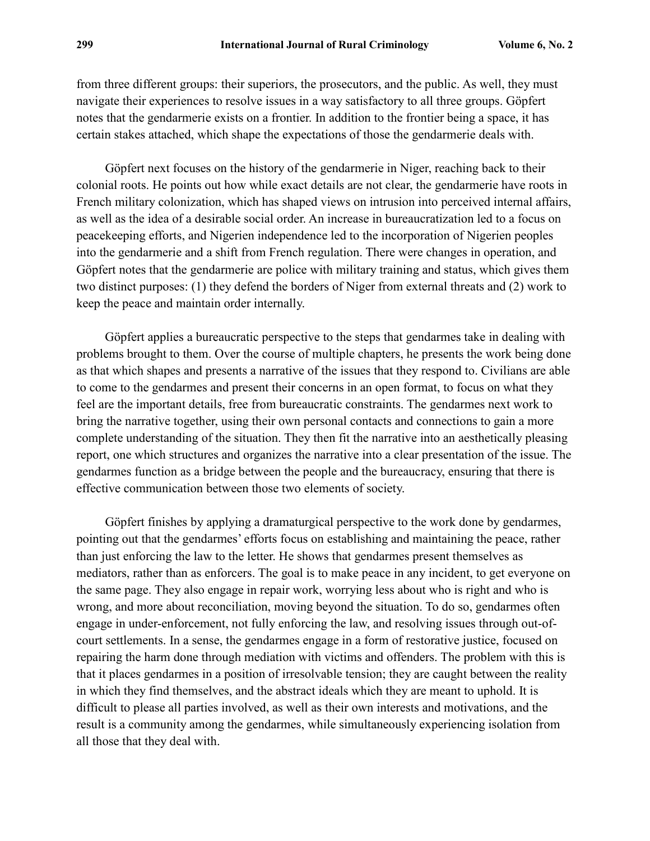from three different groups: their superiors, the prosecutors, and the public. As well, they must navigate their experiences to resolve issues in a way satisfactory to all three groups. Göpfert notes that the gendarmerie exists on a frontier. In addition to the frontier being a space, it has certain stakes attached, which shape the expectations of those the gendarmerie deals with.

Göpfert next focuses on the history of the gendarmerie in Niger, reaching back to their colonial roots. He points out how while exact details are not clear, the gendarmerie have roots in French military colonization, which has shaped views on intrusion into perceived internal affairs, as well as the idea of a desirable social order. An increase in bureaucratization led to a focus on peacekeeping efforts, and Nigerien independence led to the incorporation of Nigerien peoples into the gendarmerie and a shift from French regulation. There were changes in operation, and Göpfert notes that the gendarmerie are police with military training and status, which gives them two distinct purposes: (1) they defend the borders of Niger from external threats and (2) work to keep the peace and maintain order internally.

Göpfert applies a bureaucratic perspective to the steps that gendarmes take in dealing with problems brought to them. Over the course of multiple chapters, he presents the work being done as that which shapes and presents a narrative of the issues that they respond to. Civilians are able to come to the gendarmes and present their concerns in an open format, to focus on what they feel are the important details, free from bureaucratic constraints. The gendarmes next work to bring the narrative together, using their own personal contacts and connections to gain a more complete understanding of the situation. They then fit the narrative into an aesthetically pleasing report, one which structures and organizes the narrative into a clear presentation of the issue. The gendarmes function as a bridge between the people and the bureaucracy, ensuring that there is effective communication between those two elements of society.

Göpfert finishes by applying a dramaturgical perspective to the work done by gendarmes, pointing out that the gendarmes' efforts focus on establishing and maintaining the peace, rather than just enforcing the law to the letter. He shows that gendarmes present themselves as mediators, rather than as enforcers. The goal is to make peace in any incident, to get everyone on the same page. They also engage in repair work, worrying less about who is right and who is wrong, and more about reconciliation, moving beyond the situation. To do so, gendarmes often engage in under-enforcement, not fully enforcing the law, and resolving issues through out-ofcourt settlements. In a sense, the gendarmes engage in a form of restorative justice, focused on repairing the harm done through mediation with victims and offenders. The problem with this is that it places gendarmes in a position of irresolvable tension; they are caught between the reality in which they find themselves, and the abstract ideals which they are meant to uphold. It is difficult to please all parties involved, as well as their own interests and motivations, and the result is a community among the gendarmes, while simultaneously experiencing isolation from all those that they deal with.